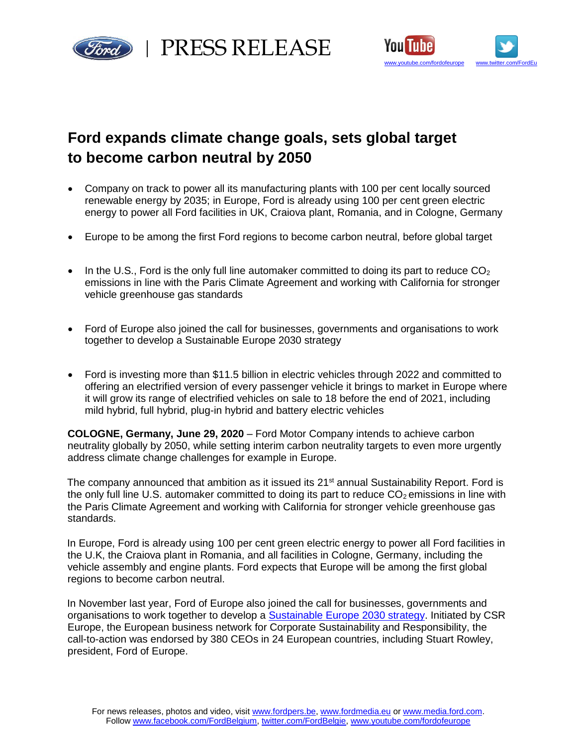

red | PRESS RELEASE



# **Ford expands climate change goals, sets global target to become carbon neutral by 2050**

- Company on track to power all its manufacturing plants with 100 per cent locally sourced renewable energy by 2035; in Europe, Ford is already using 100 per cent green electric energy to power all Ford facilities in UK, Craiova plant, Romania, and in Cologne, Germany
- Europe to be among the first Ford regions to become carbon neutral, before global target
- In the U.S., Ford is the only full line automaker committed to doing its part to reduce  $CO<sub>2</sub>$ emissions in line with the Paris Climate Agreement and working with California for stronger vehicle greenhouse gas standards
- Ford of Europe also joined the call for businesses, governments and organisations to work together to develop a Sustainable Europe 2030 strategy
- Ford is investing more than \$11.5 billion in electric vehicles through 2022 and committed to offering an electrified version of every passenger vehicle it brings to market in Europe where it will grow its range of electrified vehicles on sale to 18 before the end of 2021, including mild hybrid, full hybrid, plug-in hybrid and battery electric vehicles

**COLOGNE, Germany, June 29, 2020** – Ford Motor Company intends to achieve carbon neutrality globally by 2050, while setting interim carbon neutrality targets to even more urgently address climate change challenges for example in Europe.

The company announced that ambition as it issued its  $21<sup>st</sup>$  annual Sustainability Report. Ford is the only full line U.S. automaker committed to doing its part to reduce  $CO<sub>2</sub>$  emissions in line with the Paris Climate Agreement and working with California for stronger vehicle greenhouse gas standards.

In Europe, Ford is already using 100 per cent green electric energy to power all Ford facilities in the U.K, the Craiova plant in Romania, and all facilities in Cologne, Germany, including the vehicle assembly and engine plants. Ford expects that Europe will be among the first global regions to become carbon neutral.

In November last year, Ford of Europe also joined the call for businesses, governments and organisations to work together to develop a [Sustainable Europe 2030 strategy.](https://media.ford.com/content/fordmedia/feu/en/news/2019/11/06/Call-to-Action.html) Initiated by CSR Europe, the European business network for Corporate Sustainability and Responsibility, the call-to-action was endorsed by 380 CEOs in 24 European countries, including Stuart Rowley, president, Ford of Europe.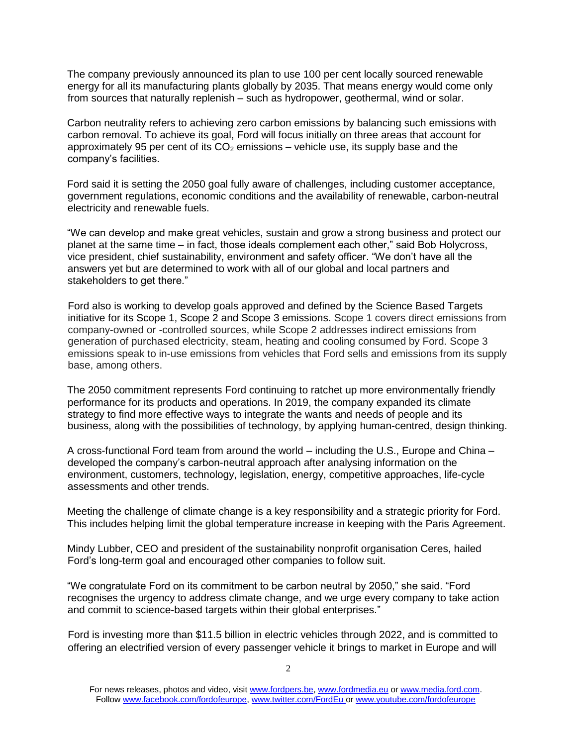The company previously announced its plan to use 100 per cent locally sourced renewable energy for all its manufacturing plants globally by 2035. That means energy would come only from sources that naturally replenish – such as hydropower, geothermal, wind or solar.

Carbon neutrality refers to achieving zero carbon emissions by balancing such emissions with carbon removal. To achieve its goal, Ford will focus initially on three areas that account for approximately 95 per cent of its  $CO<sub>2</sub>$  emissions – vehicle use, its supply base and the company's facilities.

Ford said it is setting the 2050 goal fully aware of challenges, including customer acceptance, government regulations, economic conditions and the availability of renewable, carbon-neutral electricity and renewable fuels.

"We can develop and make great vehicles, sustain and grow a strong business and protect our planet at the same time – in fact, those ideals complement each other," said Bob Holycross, vice president, chief sustainability, environment and safety officer. "We don't have all the answers yet but are determined to work with all of our global and local partners and stakeholders to get there."

Ford also is working to develop goals approved and defined by the Science Based Targets initiative for its Scope 1, Scope 2 and Scope 3 emissions. Scope 1 covers direct emissions from company-owned or -controlled sources, while Scope 2 addresses indirect emissions from generation of purchased electricity, steam, heating and cooling consumed by Ford. Scope 3 emissions speak to in-use emissions from vehicles that Ford sells and emissions from its supply base, among others.

The 2050 commitment represents Ford continuing to ratchet up more environmentally friendly performance for its products and operations. In 2019, the company expanded its climate strategy to find more effective ways to integrate the wants and needs of people and its business, along with the possibilities of technology, by applying human-centred, design thinking.

A cross-functional Ford team from around the world – including the U.S., Europe and China – developed the company's carbon-neutral approach after analysing information on the environment, customers, technology, legislation, energy, competitive approaches, life-cycle assessments and other trends.

Meeting the challenge of climate change is a key responsibility and a strategic priority for Ford. This includes helping limit the global temperature increase in keeping with the Paris Agreement.

Mindy Lubber, CEO and president of the sustainability nonprofit organisation Ceres, hailed Ford's long-term goal and encouraged other companies to follow suit.

"We congratulate Ford on its commitment to be carbon neutral by 2050," she said. "Ford recognises the urgency to address climate change, and we urge every company to take action and commit to science-based targets within their global enterprises."

Ford is investing more than \$11.5 billion in electric vehicles through 2022, and is committed to offering an electrified version of every passenger vehicle it brings to market in Europe and will

For news releases, photos and video, visit [www.fordpers.be,](http://www.fordpers.be/) [www.fordmedia.eu](http://www.fordmedia.eu/) or [www.media.ford.com.](http://www.media.ford.com/) Follo[w www.facebook.com/fordofeurope,](http://www.facebook.com/fordofeurope) [www.twitter.com/FordEu](http://www.twitter.com/FordEu) o[r www.youtube.com/fordofeurope](http://www.youtube.com/fordofeurope)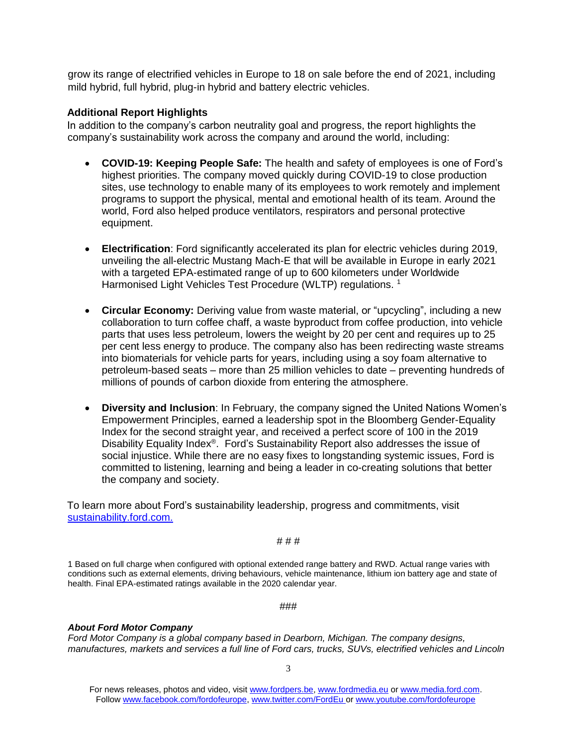grow its range of electrified vehicles in Europe to 18 on sale before the end of 2021, including mild hybrid, full hybrid, plug-in hybrid and battery electric vehicles.

## **Additional Report Highlights**

In addition to the company's carbon neutrality goal and progress, the report highlights the company's sustainability work across the company and around the world, including:

- **COVID-19: Keeping People Safe:** The health and safety of employees is one of Ford's highest priorities. The company moved quickly during COVID-19 to close production sites, use technology to enable many of its employees to work remotely and implement programs to support the physical, mental and emotional health of its team. Around the world, Ford also helped produce ventilators, respirators and personal protective equipment.
- **Electrification**: Ford significantly accelerated its plan for electric vehicles during 2019, unveiling the all-electric Mustang Mach-E that will be available in Europe in early 2021 with a targeted EPA-estimated range of up to 600 kilometers under Worldwide Harmonised Light Vehicles Test Procedure (WLTP) regulations.<sup>1</sup>
- **Circular Economy:** Deriving value from waste material, or "upcycling", including a new collaboration to turn coffee chaff, a waste byproduct from coffee production, into vehicle parts that uses less petroleum, lowers the weight by 20 per cent and requires up to 25 per cent less energy to produce. The company also has been redirecting waste streams into biomaterials for vehicle parts for years, including using a soy foam alternative to petroleum-based seats – more than 25 million vehicles to date – preventing hundreds of millions of pounds of carbon dioxide from entering the atmosphere.
- **Diversity and Inclusion**: In February, the company signed the United Nations Women's Empowerment Principles, earned a leadership spot in the Bloomberg Gender-Equality Index for the second straight year, and received a perfect score of 100 in the 2019 Disability Equality Index®. Ford's Sustainability Report also addresses the issue of social injustice. While there are no easy fixes to longstanding systemic issues, Ford is committed to listening, learning and being a leader in co-creating solutions that better the company and society.

To learn more about Ford's sustainability leadership, progress and commitments, visit [sustainability.ford.com.](https://corporate.ford.com/microsites/sustainability-report-2018-19/index.html)

# # #

1 Based on full charge when configured with optional extended range battery and RWD. Actual range varies with conditions such as external elements, driving behaviours, vehicle maintenance, lithium ion battery age and state of health. Final EPA-estimated ratings available in the 2020 calendar year.

###

## *About Ford Motor Company*

*Ford Motor Company is a global company based in Dearborn, Michigan. The company designs, manufactures, markets and services a full line of Ford cars, trucks, SUVs, electrified vehicles and Lincoln* 

For news releases, photos and video, visit [www.fordpers.be,](http://www.fordpers.be/) [www.fordmedia.eu](http://www.fordmedia.eu/) or [www.media.ford.com.](http://www.media.ford.com/) Follo[w www.facebook.com/fordofeurope,](http://www.facebook.com/fordofeurope) [www.twitter.com/FordEu](http://www.twitter.com/FordEu) o[r www.youtube.com/fordofeurope](http://www.youtube.com/fordofeurope)